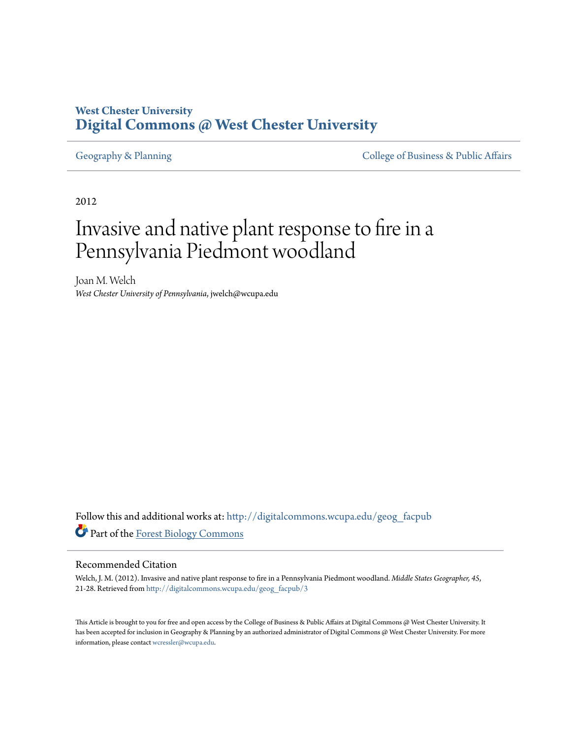## **West Chester University [Digital Commons @ West Chester University](http://digitalcommons.wcupa.edu?utm_source=digitalcommons.wcupa.edu%2Fgeog_facpub%2F3&utm_medium=PDF&utm_campaign=PDFCoverPages)**

[Geography & Planning](http://digitalcommons.wcupa.edu/geog_facpub?utm_source=digitalcommons.wcupa.edu%2Fgeog_facpub%2F3&utm_medium=PDF&utm_campaign=PDFCoverPages) The [College of Business & Public Affairs](http://digitalcommons.wcupa.edu/cbpa?utm_source=digitalcommons.wcupa.edu%2Fgeog_facpub%2F3&utm_medium=PDF&utm_campaign=PDFCoverPages)

2012

# Invasive and native plant response to fire in a Pennsylvania Piedmont woodland

Joan M. Welch *West Chester University of Pennsylvania*, jwelch@wcupa.edu

Follow this and additional works at: [http://digitalcommons.wcupa.edu/geog\\_facpub](http://digitalcommons.wcupa.edu/geog_facpub?utm_source=digitalcommons.wcupa.edu%2Fgeog_facpub%2F3&utm_medium=PDF&utm_campaign=PDFCoverPages) Part of the [Forest Biology Commons](http://network.bepress.com/hgg/discipline/91?utm_source=digitalcommons.wcupa.edu%2Fgeog_facpub%2F3&utm_medium=PDF&utm_campaign=PDFCoverPages)

#### Recommended Citation

Welch, J. M. (2012). Invasive and native plant response to fire in a Pennsylvania Piedmont woodland. *Middle States Geographer, 45*, 21-28. Retrieved from [http://digitalcommons.wcupa.edu/geog\\_facpub/3](http://digitalcommons.wcupa.edu/geog_facpub/3?utm_source=digitalcommons.wcupa.edu%2Fgeog_facpub%2F3&utm_medium=PDF&utm_campaign=PDFCoverPages)

This Article is brought to you for free and open access by the College of Business & Public Affairs at Digital Commons @ West Chester University. It has been accepted for inclusion in Geography & Planning by an authorized administrator of Digital Commons @ West Chester University. For more information, please contact [wcressler@wcupa.edu.](mailto:wcressler@wcupa.edu)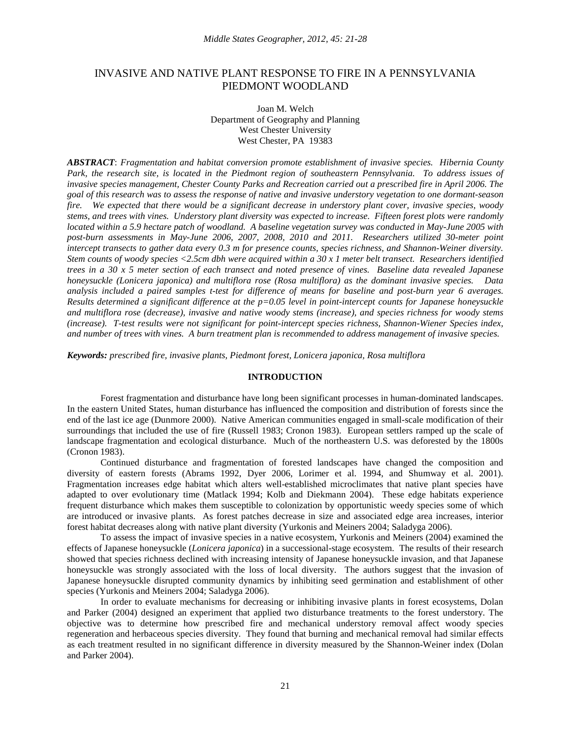### INVASIVE AND NATIVE PLANT RESPONSE TO FIRE IN A PENNSYLVANIA PIEDMONT WOODLAND

Joan M. Welch Department of Geography and Planning West Chester University West Chester, PA 19383

*ABSTRACT*: *Fragmentation and habitat conversion promote establishment of invasive species. Hibernia County*  Park, the research site, is located in the Piedmont region of southeastern Pennsylvania. To address issues of *invasive species management, Chester County Parks and Recreation carried out a prescribed fire in April 2006. The goal of this research was to assess the response of native and invasive understory vegetation to one dormant-season fire. We expected that there would be a significant decrease in understory plant cover, invasive species, woody stems, and trees with vines. Understory plant diversity was expected to increase. Fifteen forest plots were randomly located within a 5.9 hectare patch of woodland. A baseline vegetation survey was conducted in May-June 2005 with post-burn assessments in May-June 2006, 2007, 2008, 2010 and 2011. Researchers utilized 30-meter point intercept transects to gather data every 0.3 m for presence counts, species richness, and Shannon-Weiner diversity. Stem counts of woody species <2.5cm dbh were acquired within a 30 x 1 meter belt transect. Researchers identified trees in a 30 x 5 meter section of each transect and noted presence of vines. Baseline data revealed Japanese honeysuckle (Lonicera japonica) and multiflora rose (Rosa multiflora) as the dominant invasive species. Data analysis included a paired samples t-test for difference of means for baseline and post-burn year 6 averages. Results determined a significant difference at the p=0.05 level in point-intercept counts for Japanese honeysuckle and multiflora rose (decrease), invasive and native woody stems (increase), and species richness for woody stems (increase). T-test results were not significant for point-intercept species richness, Shannon-Wiener Species index, and number of trees with vines. A burn treatment plan is recommended to address management of invasive species.* 

*Keywords: prescribed fire, invasive plants, Piedmont forest, Lonicera japonica, Rosa multiflora*

#### **INTRODUCTION**

Forest fragmentation and disturbance have long been significant processes in human-dominated landscapes. In the eastern United States, human disturbance has influenced the composition and distribution of forests since the end of the last ice age (Dunmore 2000). Native American communities engaged in small-scale modification of their surroundings that included the use of fire (Russell 1983; Cronon 1983). European settlers ramped up the scale of landscape fragmentation and ecological disturbance. Much of the northeastern U.S. was deforested by the 1800s (Cronon 1983).

Continued disturbance and fragmentation of forested landscapes have changed the composition and diversity of eastern forests (Abrams 1992, Dyer 2006, Lorimer et al. 1994, and Shumway et al. 2001). Fragmentation increases edge habitat which alters well-established microclimates that native plant species have adapted to over evolutionary time (Matlack 1994; Kolb and Diekmann 2004). These edge habitats experience frequent disturbance which makes them susceptible to colonization by opportunistic weedy species some of which are introduced or invasive plants. As forest patches decrease in size and associated edge area increases, interior forest habitat decreases along with native plant diversity (Yurkonis and Meiners 2004; Saladyga 2006).

To assess the impact of invasive species in a native ecosystem, Yurkonis and Meiners (2004) examined the effects of Japanese honeysuckle (*Lonicera japonica*) in a successional-stage ecosystem. The results of their research showed that species richness declined with increasing intensity of Japanese honeysuckle invasion, and that Japanese honeysuckle was strongly associated with the loss of local diversity. The authors suggest that the invasion of Japanese honeysuckle disrupted community dynamics by inhibiting seed germination and establishment of other species (Yurkonis and Meiners 2004; Saladyga 2006).

In order to evaluate mechanisms for decreasing or inhibiting invasive plants in forest ecosystems, Dolan and Parker (2004) designed an experiment that applied two disturbance treatments to the forest understory. The objective was to determine how prescribed fire and mechanical understory removal affect woody species regeneration and herbaceous species diversity. They found that burning and mechanical removal had similar effects as each treatment resulted in no significant difference in diversity measured by the Shannon-Weiner index (Dolan and Parker 2004).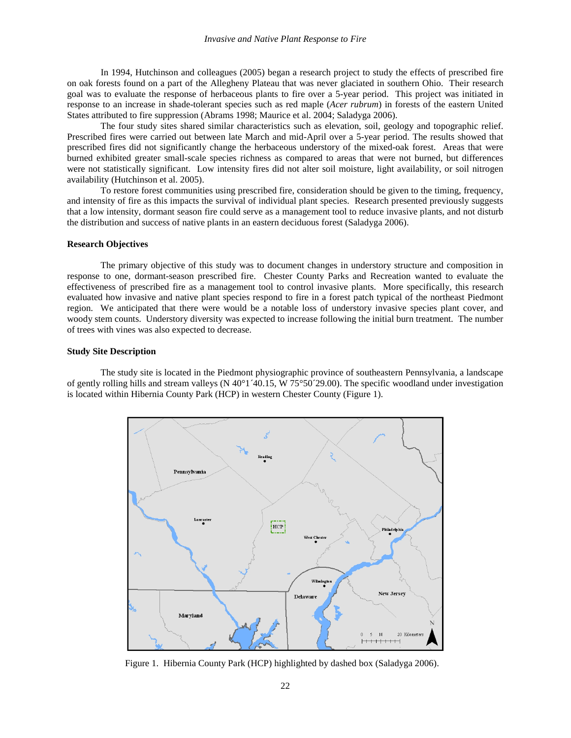In 1994, Hutchinson and colleagues (2005) began a research project to study the effects of prescribed fire on oak forests found on a part of the Allegheny Plateau that was never glaciated in southern Ohio. Their research goal was to evaluate the response of herbaceous plants to fire over a 5-year period. This project was initiated in response to an increase in shade-tolerant species such as red maple (*Acer rubrum*) in forests of the eastern United States attributed to fire suppression (Abrams 1998; Maurice et al. 2004; Saladyga 2006).

The four study sites shared similar characteristics such as elevation, soil, geology and topographic relief. Prescribed fires were carried out between late March and mid-April over a 5-year period. The results showed that prescribed fires did not significantly change the herbaceous understory of the mixed-oak forest. Areas that were burned exhibited greater small-scale species richness as compared to areas that were not burned, but differences were not statistically significant. Low intensity fires did not alter soil moisture, light availability, or soil nitrogen availability (Hutchinson et al. 2005).

To restore forest communities using prescribed fire, consideration should be given to the timing, frequency, and intensity of fire as this impacts the survival of individual plant species. Research presented previously suggests that a low intensity, dormant season fire could serve as a management tool to reduce invasive plants, and not disturb the distribution and success of native plants in an eastern deciduous forest (Saladyga 2006).

#### **Research Objectives**

The primary objective of this study was to document changes in understory structure and composition in response to one, dormant-season prescribed fire. Chester County Parks and Recreation wanted to evaluate the effectiveness of prescribed fire as a management tool to control invasive plants. More specifically, this research evaluated how invasive and native plant species respond to fire in a forest patch typical of the northeast Piedmont region. We anticipated that there were would be a notable loss of understory invasive species plant cover, and woody stem counts. Understory diversity was expected to increase following the initial burn treatment. The number of trees with vines was also expected to decrease.

#### **Study Site Description**

The study site is located in the Piedmont physiographic province of southeastern Pennsylvania, a landscape of gently rolling hills and stream valleys (N 40°1´40.15, W 75°50´29.00). The specific woodland under investigation is located within Hibernia County Park (HCP) in western Chester County (Figure 1).



Figure 1. Hibernia County Park (HCP) highlighted by dashed box (Saladyga 2006).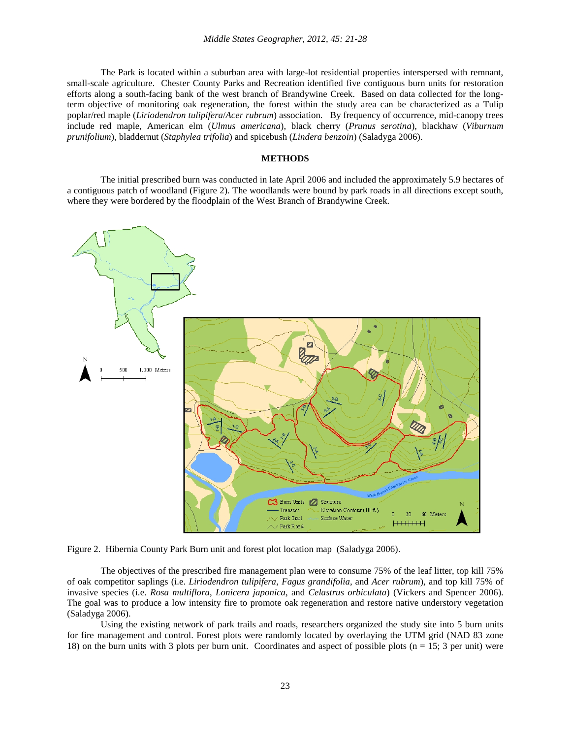The Park is located within a suburban area with large-lot residential properties interspersed with remnant, small-scale agriculture. Chester County Parks and Recreation identified five contiguous burn units for restoration efforts along a south-facing bank of the west branch of Brandywine Creek. Based on data collected for the longterm objective of monitoring oak regeneration, the forest within the study area can be characterized as a Tulip poplar/red maple (*Liriodendron tulipifera*/*Acer rubrum*) association. By frequency of occurrence, mid-canopy trees include red maple, American elm (*Ulmus americana*), black cherry (*Prunus serotina*), blackhaw (*Viburnum prunifolium*), bladdernut (*Staphylea trifolia*) and spicebush (*Lindera benzoin*) (Saladyga 2006).

#### **METHODS**

The initial prescribed burn was conducted in late April 2006 and included the approximately 5.9 hectares of a contiguous patch of woodland (Figure 2). The woodlands were bound by park roads in all directions except south, where they were bordered by the floodplain of the West Branch of Brandywine Creek.



Figure 2. Hibernia County Park Burn unit and forest plot location map (Saladyga 2006).

The objectives of the prescribed fire management plan were to consume 75% of the leaf litter, top kill 75% of oak competitor saplings (i.e. *Liriodendron tulipifera*, *Fagus grandifolia*, and *Acer rubrum*), and top kill 75% of invasive species (i.e. *Rosa multiflora*, *Lonicera japonica*, and *Celastrus orbiculata*) (Vickers and Spencer 2006). The goal was to produce a low intensity fire to promote oak regeneration and restore native understory vegetation (Saladyga 2006).

Using the existing network of park trails and roads, researchers organized the study site into 5 burn units for fire management and control. Forest plots were randomly located by overlaying the UTM grid (NAD 83 zone 18) on the burn units with 3 plots per burn unit. Coordinates and aspect of possible plots (n = 15; 3 per unit) were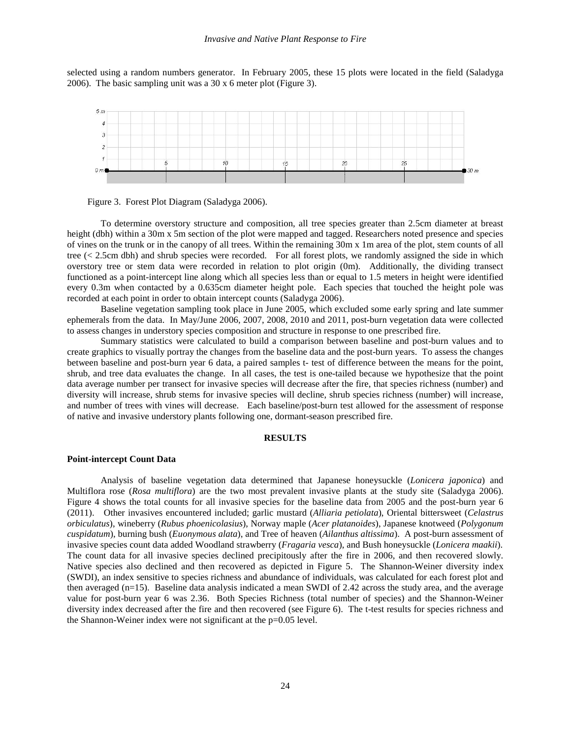selected using a random numbers generator. In February 2005, these 15 plots were located in the field (Saladyga 2006). The basic sampling unit was a 30 x 6 meter plot (Figure 3).





To determine overstory structure and composition, all tree species greater than 2.5cm diameter at breast height (dbh) within a 30m x 5m section of the plot were mapped and tagged. Researchers noted presence and species of vines on the trunk or in the canopy of all trees. Within the remaining 30m x 1m area of the plot, stem counts of all tree (< 2.5cm dbh) and shrub species were recorded. For all forest plots, we randomly assigned the side in which overstory tree or stem data were recorded in relation to plot origin (0m). Additionally, the dividing transect functioned as a point-intercept line along which all species less than or equal to 1.5 meters in height were identified every 0.3m when contacted by a 0.635cm diameter height pole. Each species that touched the height pole was recorded at each point in order to obtain intercept counts (Saladyga 2006).

Baseline vegetation sampling took place in June 2005, which excluded some early spring and late summer ephemerals from the data. In May/June 2006, 2007, 2008, 2010 and 2011, post-burn vegetation data were collected to assess changes in understory species composition and structure in response to one prescribed fire.

Summary statistics were calculated to build a comparison between baseline and post-burn values and to create graphics to visually portray the changes from the baseline data and the post-burn years. To assess the changes between baseline and post-burn year 6 data, a paired samples t- test of difference between the means for the point, shrub, and tree data evaluates the change. In all cases, the test is one-tailed because we hypothesize that the point data average number per transect for invasive species will decrease after the fire, that species richness (number) and diversity will increase, shrub stems for invasive species will decline, shrub species richness (number) will increase, and number of trees with vines will decrease. Each baseline/post-burn test allowed for the assessment of response of native and invasive understory plants following one, dormant-season prescribed fire.

#### **RESULTS**

#### **Point-intercept Count Data**

Analysis of baseline vegetation data determined that Japanese honeysuckle (*Lonicera japonica*) and Multiflora rose (*Rosa multiflora*) are the two most prevalent invasive plants at the study site (Saladyga 2006). Figure 4 shows the total counts for all invasive species for the baseline data from 2005 and the post-burn year 6 (2011). Other invasives encountered included; garlic mustard (*Alliaria petiolata*), Oriental bittersweet (*Celastrus orbiculatus*), wineberry (*Rubus phoenicolasius*), Norway maple (*Acer platanoides*), Japanese knotweed (*Polygonum cuspidatum*), burning bush (*Euonymous alata*), and Tree of heaven (*Ailanthus altissima*). A post-burn assessment of invasive species count data added Woodland strawberry (*Fragaria vesca*), and Bush honeysuckle (*Lonicera maakii*). The count data for all invasive species declined precipitously after the fire in 2006, and then recovered slowly. Native species also declined and then recovered as depicted in Figure 5. The Shannon-Weiner diversity index (SWDI), an index sensitive to species richness and abundance of individuals, was calculated for each forest plot and then averaged (n=15). Baseline data analysis indicated a mean SWDI of 2.42 across the study area, and the average value for post-burn year 6 was 2.36. Both Species Richness (total number of species) and the Shannon-Weiner diversity index decreased after the fire and then recovered (see Figure 6). The t-test results for species richness and the Shannon-Weiner index were not significant at the p=0.05 level.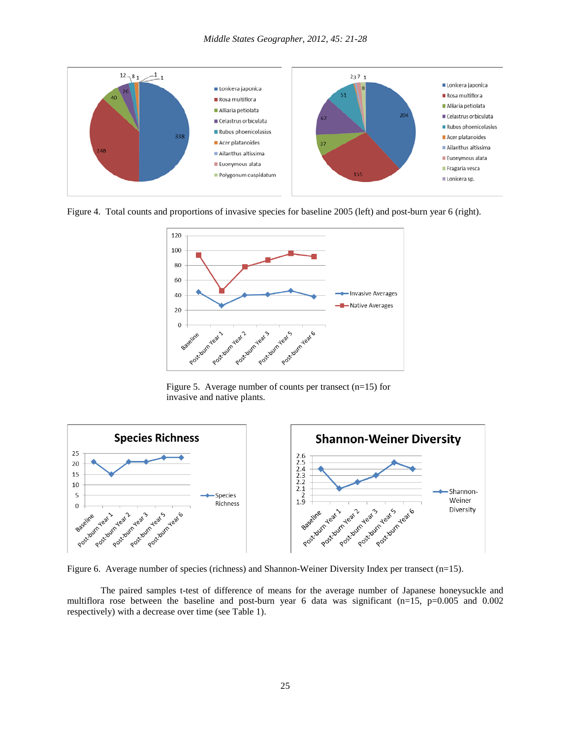

Figure 4. Total counts and proportions of invasive species for baseline 2005 (left) and post-burn year 6 (right).



Figure 5. Average number of counts per transect (n=15) for invasive and native plants.



Figure 6. Average number of species (richness) and Shannon-Weiner Diversity Index per transect (n=15).

The paired samples t-test of difference of means for the average number of Japanese honeysuckle and multiflora rose between the baseline and post-burn year 6 data was significant  $(n=15, p=0.005$  and 0.002 respectively) with a decrease over time (see Table 1).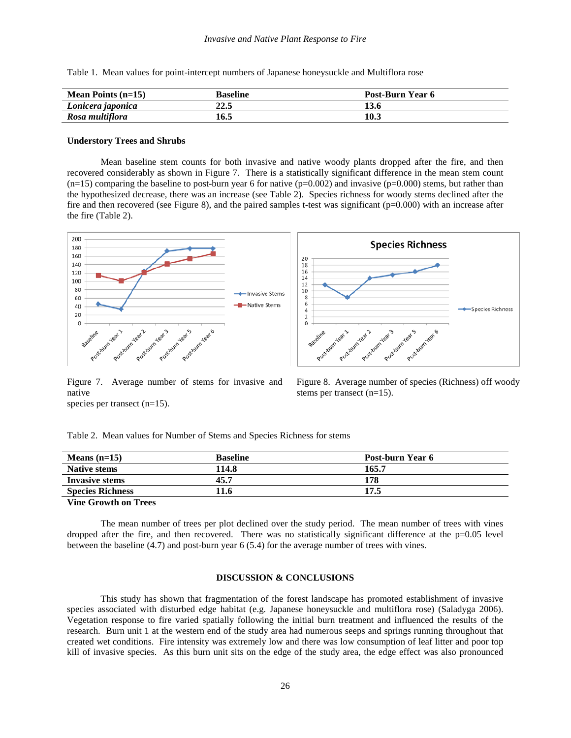|  |  |  |  |  |  |  |  | Table 1. Mean values for point-intercept numbers of Japanese honeysuckle and Multiflora rose |
|--|--|--|--|--|--|--|--|----------------------------------------------------------------------------------------------|
|--|--|--|--|--|--|--|--|----------------------------------------------------------------------------------------------|

| <b>Mean Points <math>(n=15)</math></b> | Baseline | Post-Burn Year 6 |
|----------------------------------------|----------|------------------|
| Lonicera japonica                      | 22.5     | 13.6             |
| Rosa multiflora                        | 16.5     | 10.3             |

#### **Understory Trees and Shrubs**

Mean baseline stem counts for both invasive and native woody plants dropped after the fire, and then recovered considerably as shown in Figure 7. There is a statistically significant difference in the mean stem count  $(n=15)$  comparing the baseline to post-burn year 6 for native  $(p=0.002)$  and invasive  $(p=0.000)$  stems, but rather than the hypothesized decrease, there was an increase (see Table 2). Species richness for woody stems declined after the fire and then recovered (see Figure 8), and the paired samples t-test was significant  $(p=0.000)$  with an increase after the fire (Table 2).



Figure 7. Average number of stems for invasive and native species per transect (n=15).

Figure 8. Average number of species (Richness) off woody stems per transect (n=15).

Table 2. Mean values for Number of Stems and Species Richness for stems

| Means $(n=15)$          | <b>Baseline</b> | Post-burn Year 6 |
|-------------------------|-----------------|------------------|
| <b>Native stems</b>     | 114.8           | 165.7            |
| <b>Invasive stems</b>   | 45.7            | 178              |
| <b>Species Richness</b> | 11.6            | 17.5             |
|                         |                 |                  |

**Vine Growth on Trees** 

The mean number of trees per plot declined over the study period. The mean number of trees with vines dropped after the fire, and then recovered. There was no statistically significant difference at the  $p=0.05$  level between the baseline (4.7) and post-burn year 6 (5.4) for the average number of trees with vines.

#### **DISCUSSION & CONCLUSIONS**

This study has shown that fragmentation of the forest landscape has promoted establishment of invasive species associated with disturbed edge habitat (e.g. Japanese honeysuckle and multiflora rose) (Saladyga 2006). Vegetation response to fire varied spatially following the initial burn treatment and influenced the results of the research. Burn unit 1 at the western end of the study area had numerous seeps and springs running throughout that created wet conditions. Fire intensity was extremely low and there was low consumption of leaf litter and poor top kill of invasive species. As this burn unit sits on the edge of the study area, the edge effect was also pronounced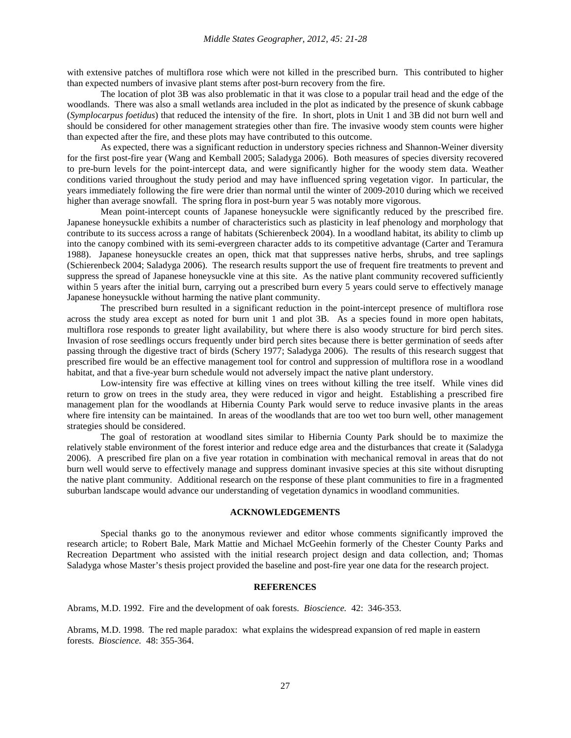with extensive patches of multiflora rose which were not killed in the prescribed burn. This contributed to higher than expected numbers of invasive plant stems after post-burn recovery from the fire.

The location of plot 3B was also problematic in that it was close to a popular trail head and the edge of the woodlands. There was also a small wetlands area included in the plot as indicated by the presence of skunk cabbage (*Symplocarpus foetidus*) that reduced the intensity of the fire. In short, plots in Unit 1 and 3B did not burn well and should be considered for other management strategies other than fire. The invasive woody stem counts were higher than expected after the fire, and these plots may have contributed to this outcome.

As expected, there was a significant reduction in understory species richness and Shannon-Weiner diversity for the first post-fire year (Wang and Kemball 2005; Saladyga 2006). Both measures of species diversity recovered to pre-burn levels for the point-intercept data, and were significantly higher for the woody stem data. Weather conditions varied throughout the study period and may have influenced spring vegetation vigor. In particular, the years immediately following the fire were drier than normal until the winter of 2009-2010 during which we received higher than average snowfall. The spring flora in post-burn year 5 was notably more vigorous.

Mean point-intercept counts of Japanese honeysuckle were significantly reduced by the prescribed fire. Japanese honeysuckle exhibits a number of characteristics such as plasticity in leaf phenology and morphology that contribute to its success across a range of habitats (Schierenbeck 2004). In a woodland habitat, its ability to climb up into the canopy combined with its semi-evergreen character adds to its competitive advantage (Carter and Teramura 1988). Japanese honeysuckle creates an open, thick mat that suppresses native herbs, shrubs, and tree saplings (Schierenbeck 2004; Saladyga 2006). The research results support the use of frequent fire treatments to prevent and suppress the spread of Japanese honeysuckle vine at this site. As the native plant community recovered sufficiently within 5 years after the initial burn, carrying out a prescribed burn every 5 years could serve to effectively manage Japanese honeysuckle without harming the native plant community.

The prescribed burn resulted in a significant reduction in the point-intercept presence of multiflora rose across the study area except as noted for burn unit 1 and plot 3B. As a species found in more open habitats, multiflora rose responds to greater light availability, but where there is also woody structure for bird perch sites. Invasion of rose seedlings occurs frequently under bird perch sites because there is better germination of seeds after passing through the digestive tract of birds (Schery 1977; Saladyga 2006). The results of this research suggest that prescribed fire would be an effective management tool for control and suppression of multiflora rose in a woodland habitat, and that a five-year burn schedule would not adversely impact the native plant understory.

Low-intensity fire was effective at killing vines on trees without killing the tree itself. While vines did return to grow on trees in the study area, they were reduced in vigor and height. Establishing a prescribed fire management plan for the woodlands at Hibernia County Park would serve to reduce invasive plants in the areas where fire intensity can be maintained. In areas of the woodlands that are too wet too burn well, other management strategies should be considered.

The goal of restoration at woodland sites similar to Hibernia County Park should be to maximize the relatively stable environment of the forest interior and reduce edge area and the disturbances that create it (Saladyga 2006). A prescribed fire plan on a five year rotation in combination with mechanical removal in areas that do not burn well would serve to effectively manage and suppress dominant invasive species at this site without disrupting the native plant community. Additional research on the response of these plant communities to fire in a fragmented suburban landscape would advance our understanding of vegetation dynamics in woodland communities.

#### **ACKNOWLEDGEMENTS**

Special thanks go to the anonymous reviewer and editor whose comments significantly improved the research article; to Robert Bale, Mark Mattie and Michael McGeehin formerly of the Chester County Parks and Recreation Department who assisted with the initial research project design and data collection, and; Thomas Saladyga whose Master's thesis project provided the baseline and post-fire year one data for the research project.

#### **REFERENCES**

Abrams, M.D. 1992. Fire and the development of oak forests. *Bioscience.* 42: 346-353.

Abrams, M.D. 1998. The red maple paradox: what explains the widespread expansion of red maple in eastern forests. *Bioscience.* 48: 355-364.